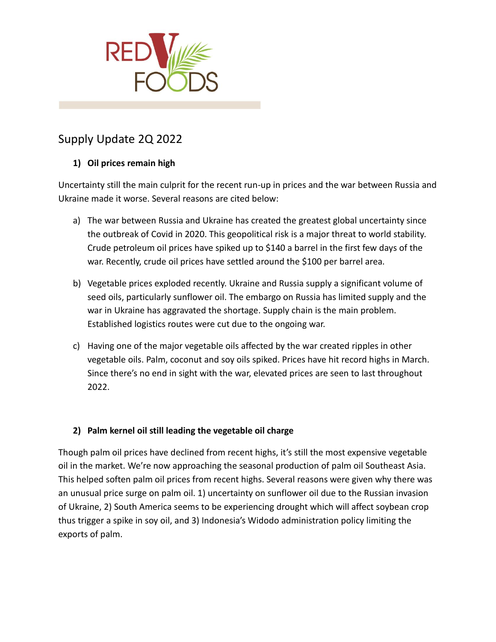

# Supply Update 2Q 2022

## **1) Oil prices remain high**

Uncertainty still the main culprit for the recent run-up in prices and the war between Russia and Ukraine made it worse. Several reasons are cited below:

- a) The war between Russia and Ukraine has created the greatest global uncertainty since the outbreak of Covid in 2020. This geopolitical risk is a major threat to world stability. Crude petroleum oil prices have spiked up to \$140 a barrel in the first few days of the war. Recently, crude oil prices have settled around the \$100 per barrel area.
- b) Vegetable prices exploded recently. Ukraine and Russia supply a significant volume of seed oils, particularly sunflower oil. The embargo on Russia has limited supply and the war in Ukraine has aggravated the shortage. Supply chain is the main problem. Established logistics routes were cut due to the ongoing war.
- c) Having one of the major vegetable oils affected by the war created ripples in other vegetable oils. Palm, coconut and soy oils spiked. Prices have hit record highs in March. Since there's no end in sight with the war, elevated prices are seen to last throughout 2022.

## **2) Palm kernel oil still leading the vegetable oil charge**

Though palm oil prices have declined from recent highs, it's still the most expensive vegetable oil in the market. We're now approaching the seasonal production of palm oil Southeast Asia. This helped soften palm oil prices from recent highs. Several reasons were given why there was an unusual price surge on palm oil. 1) uncertainty on sunflower oil due to the Russian invasion of Ukraine, 2) South America seems to be experiencing drought which will affect soybean crop thus trigger a spike in soy oil, and 3) Indonesia's Widodo administration policy limiting the exports of palm.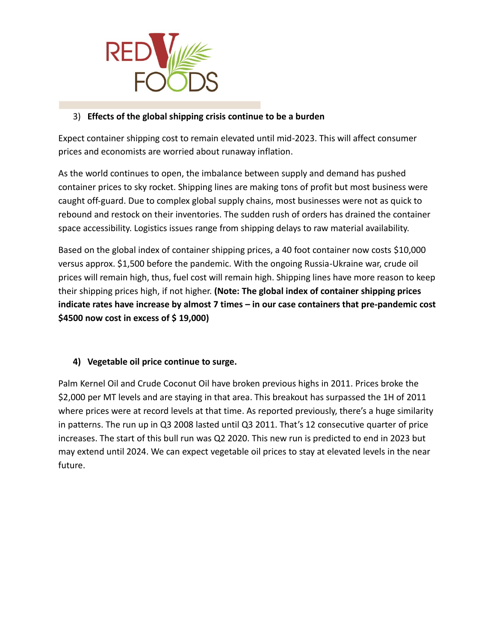

## 3) **Effects of the global shipping crisis continue to be a burden**

Expect container shipping cost to remain elevated until mid-2023. This will affect consumer prices and economists are worried about runaway inflation.

As the world continues to open, the imbalance between supply and demand has pushed container prices to sky rocket. Shipping lines are making tons of profit but most business were caught off-guard. Due to complex global supply chains, most businesses were not as quick to rebound and restock on their inventories. The sudden rush of orders has drained the container space accessibility. Logistics issues range from shipping delays to raw material availability.

Based on the global index of container shipping prices, a 40 foot container now costs \$10,000 versus approx. \$1,500 before the pandemic. With the ongoing Russia-Ukraine war, crude oil prices will remain high, thus, fuel cost will remain high. Shipping lines have more reason to keep their shipping prices high, if not higher. **(Note: The global index of container shipping prices indicate rates have increase by almost 7 times – in our case containers that pre-pandemic cost \$4500 now cost in excess of \$ 19,000)**

### **4) Vegetable oil price continue to surge.**

Palm Kernel Oil and Crude Coconut Oil have broken previous highs in 2011. Prices broke the \$2,000 per MT levels and are staying in that area. This breakout has surpassed the 1H of 2011 where prices were at record levels at that time. As reported previously, there's a huge similarity in patterns. The run up in Q3 2008 lasted until Q3 2011. That's 12 consecutive quarter of price increases. The start of this bull run was Q2 2020. This new run is predicted to end in 2023 but may extend until 2024. We can expect vegetable oil prices to stay at elevated levels in the near future.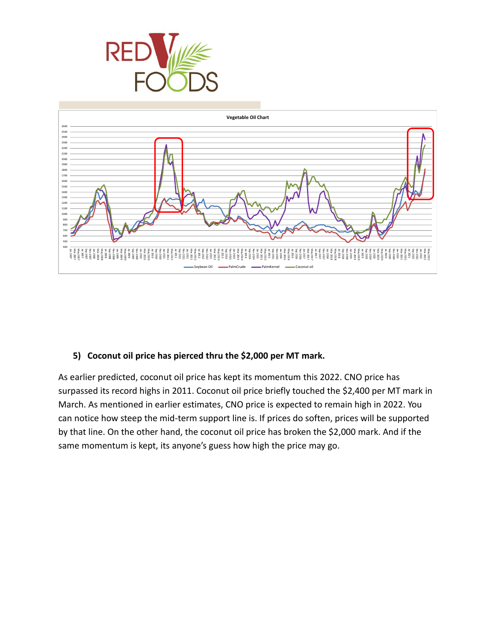



### **5) Coconut oil price has pierced thru the \$2,000 per MT mark.**

As earlier predicted, coconut oil price has kept its momentum this 2022. CNO price has surpassed its record highs in 2011. Coconut oil price briefly touched the \$2,400 per MT mark in March. As mentioned in earlier estimates, CNO price is expected to remain high in 2022. You can notice how steep the mid-term support line is. If prices do soften, prices will be supported by that line. On the other hand, the coconut oil price has broken the \$2,000 mark. And if the same momentum is kept, its anyone's guess how high the price may go.